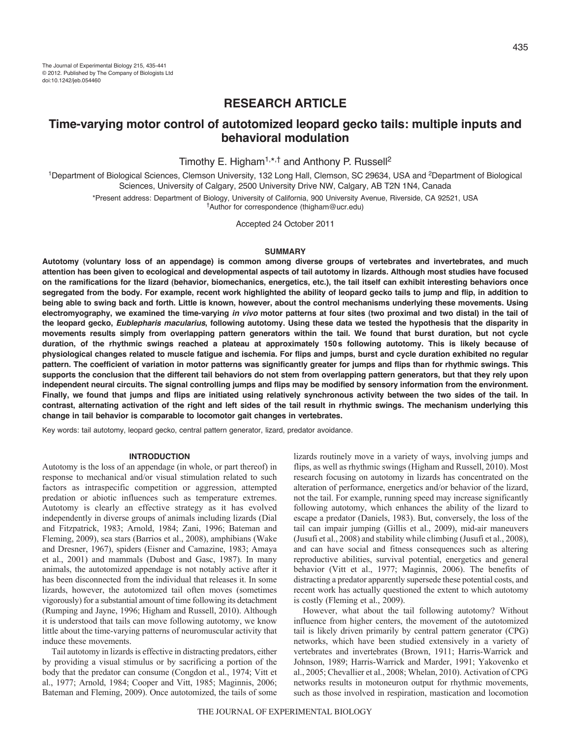# **RESEARCH ARTICLE**

## **Time-varying motor control of autotomized leopard gecko tails: multiple inputs and behavioral modulation**

Timothy E. Higham<sup>1,\*,†</sup> and Anthony P. Russell<sup>2</sup>

<sup>1</sup>Department of Biological Sciences, Clemson University, 132 Long Hall, Clemson, SC 29634, USA and <sup>2</sup>Department of Biological Sciences, University of Calgary, 2500 University Drive NW, Calgary, AB T2N 1N4, Canada

\*Present address: Department of Biology, University of California, 900 University Avenue, Riverside, CA 92521, USA †Author for correspondence (thigham@ucr.edu)

Accepted 24 October 2011

#### **SUMMARY**

**Autotomy (voluntary loss of an appendage) is common among diverse groups of vertebrates and invertebrates, and much attention has been given to ecological and developmental aspects of tail autotomy in lizards. Although most studies have focused on the ramifications for the lizard (behavior, biomechanics, energetics, etc.), the tail itself can exhibit interesting behaviors once segregated from the body. For example, recent work highlighted the ability of leopard gecko tails to jump and flip, in addition to being able to swing back and forth. Little is known, however, about the control mechanisms underlying these movements. Using electromyography, we examined the time-varying** *in vivo* **motor patterns at four sites (two proximal and two distal) in the tail of the leopard gecko,** *Eublepharis macularius***, following autotomy. Using these data we tested the hypothesis that the disparity in movements results simply from overlapping pattern generators within the tail. We found that burst duration, but not cycle duration, of the rhythmic swings reached a plateau at approximately 150s following autotomy. This is likely because of physiological changes related to muscle fatigue and ischemia. For flips and jumps, burst and cycle duration exhibited no regular pattern. The coefficient of variation in motor patterns was significantly greater for jumps and flips than for rhythmic swings. This supports the conclusion that the different tail behaviors do not stem from overlapping pattern generators, but that they rely upon independent neural circuits. The signal controlling jumps and flips may be modified by sensory information from the environment. Finally, we found that jumps and flips are initiated using relatively synchronous activity between the two sides of the tail. In contrast, alternating activation of the right and left sides of the tail result in rhythmic swings. The mechanism underlying this change in tail behavior is comparable to locomotor gait changes in vertebrates.**

Key words: tail autotomy, leopard gecko, central pattern generator, lizard, predator avoidance.

#### **INTRODUCTION**

Autotomy is the loss of an appendage (in whole, or part thereof) in response to mechanical and/or visual stimulation related to such factors as intraspecific competition or aggression, attempted predation or abiotic influences such as temperature extremes. Autotomy is clearly an effective strategy as it has evolved independently in diverse groups of animals including lizards (Dial and Fitzpatrick, 1983; Arnold, 1984; Zani, 1996; Bateman and Fleming, 2009), sea stars (Barrios et al., 2008), amphibians (Wake and Dresner, 1967), spiders (Eisner and Camazine, 1983; Amaya et al., 2001) and mammals (Dubost and Gasc, 1987). In many animals, the autotomized appendage is not notably active after it has been disconnected from the individual that releases it. In some lizards, however, the autotomized tail often moves (sometimes vigorously) for a substantial amount of time following its detachment (Rumping and Jayne, 1996; Higham and Russell, 2010). Although it is understood that tails can move following autotomy, we know little about the time-varying patterns of neuromuscular activity that induce these movements.

Tail autotomy in lizards is effective in distracting predators, either by providing a visual stimulus or by sacrificing a portion of the body that the predator can consume (Congdon et al., 1974; Vitt et al., 1977; Arnold, 1984; Cooper and Vitt, 1985; Maginnis, 2006; Bateman and Fleming, 2009). Once autotomized, the tails of some lizards routinely move in a variety of ways, involving jumps and flips, as well as rhythmic swings (Higham and Russell, 2010). Most research focusing on autotomy in lizards has concentrated on the alteration of performance, energetics and/or behavior of the lizard, not the tail. For example, running speed may increase significantly following autotomy, which enhances the ability of the lizard to escape a predator (Daniels, 1983). But, conversely, the loss of the tail can impair jumping (Gillis et al., 2009), mid-air maneuvers (Jusufi et al., 2008) and stability while climbing (Jusufi et al., 2008), and can have social and fitness consequences such as altering reproductive abilities, survival potential, energetics and general behavior (Vitt et al., 1977; Maginnis, 2006). The benefits of distracting a predator apparently supersede these potential costs, and recent work has actually questioned the extent to which autotomy is costly (Fleming et al., 2009).

However, what about the tail following autotomy? Without influence from higher centers, the movement of the autotomized tail is likely driven primarily by central pattern generator (CPG) networks, which have been studied extensively in a variety of vertebrates and invertebrates (Brown, 1911; Harris-Warrick and Johnson, 1989; Harris-Warrick and Marder, 1991; Yakovenko et al., 2005; Chevallier et al., 2008; Whelan, 2010). Activation of CPG networks results in motoneuron output for rhythmic movements, such as those involved in respiration, mastication and locomotion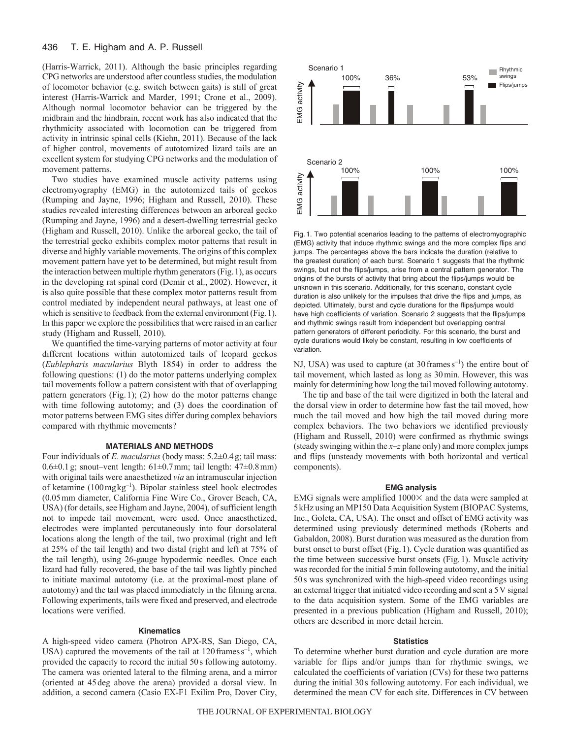(Harris-Warrick, 2011). Although the basic principles regarding CPG networks are understood after countless studies, the modulation of locomotor behavior (e.g. switch between gaits) is still of great interest (Harris-Warrick and Marder, 1991; Crone et al., 2009). Although normal locomotor behavior can be triggered by the midbrain and the hindbrain, recent work has also indicated that the rhythmicity associated with locomotion can be triggered from activity in intrinsic spinal cells (Kiehn, 2011). Because of the lack of higher control, movements of autotomized lizard tails are an excellent system for studying CPG networks and the modulation of movement patterns.

Two studies have examined muscle activity patterns using electromyography (EMG) in the autotomized tails of geckos (Rumping and Jayne, 1996; Higham and Russell, 2010). These studies revealed interesting differences between an arboreal gecko (Rumping and Jayne, 1996) and a desert-dwelling terrestrial gecko (Higham and Russell, 2010). Unlike the arboreal gecko, the tail of the terrestrial gecko exhibits complex motor patterns that result in diverse and highly variable movements. The origins of this complex movement pattern have yet to be determined, but might result from the interaction between multiple rhythm generators (Fig.1), as occurs in the developing rat spinal cord (Demir et al., 2002). However, it is also quite possible that these complex motor patterns result from control mediated by independent neural pathways, at least one of which is sensitive to feedback from the external environment (Fig. 1). In this paper we explore the possibilities that were raised in an earlier study (Higham and Russell, 2010).

We quantified the time-varying patterns of motor activity at four different locations within autotomized tails of leopard geckos (*Eublepharis macularius* Blyth 1854) in order to address the following questions: (1) do the motor patterns underlying complex tail movements follow a pattern consistent with that of overlapping pattern generators (Fig.1); (2) how do the motor patterns change with time following autotomy; and (3) does the coordination of motor patterns between EMG sites differ during complex behaviors compared with rhythmic movements?

#### **MATERIALS AND METHODS**

Four individuals of *E. macularius* (body mass: 5.2±0.4g; tail mass:  $0.6\pm0.1$ g; snout–vent length:  $61\pm0.7$ mm; tail length:  $47\pm0.8$ mm) with original tails were anaesthetized *via* an intramuscular injection of ketamine (100mgkg–1). Bipolar stainless steel hook electrodes (0.05mm diameter, California Fine Wire Co., Grover Beach, CA, USA) (for details, see Higham and Jayne, 2004), of sufficient length not to impede tail movement, were used. Once anaesthetized, electrodes were implanted percutaneously into four dorsolateral locations along the length of the tail, two proximal (right and left at 25% of the tail length) and two distal (right and left at 75% of the tail length), using 26-gauge hypodermic needles. Once each lizard had fully recovered, the base of the tail was lightly pinched to initiate maximal autotomy (i.e. at the proximal-most plane of autotomy) and the tail was placed immediately in the filming arena. Following experiments, tails were fixed and preserved, and electrode locations were verified.

#### **Kinematics**

A high-speed video camera (Photron APX-RS, San Diego, CA, USA) captured the movements of the tail at  $120$  frames  $s^{-1}$ , which provided the capacity to record the initial 50s following autotomy. The camera was oriented lateral to the filming arena, and a mirror (oriented at 45deg above the arena) provided a dorsal view. In addition, a second camera (Casio EX-F1 Exilim Pro, Dover City,



Fig. 1. Two potential scenarios leading to the patterns of electromyographic (EMG) activity that induce rhythmic swings and the more complex flips and jumps. The percentages above the bars indicate the duration (relative to the greatest duration) of each burst. Scenario 1 suggests that the rhythmic swings, but not the flips/jumps, arise from a central pattern generator. The origins of the bursts of activity that bring about the flips/jumps would be unknown in this scenario. Additionally, for this scenario, constant cycle duration is also unlikely for the impulses that drive the flips and jumps, as depicted. Ultimately, burst and cycle durations for the flips/jumps would have high coefficients of variation. Scenario 2 suggests that the flips/jumps and rhythmic swings result from independent but overlapping central pattern generators of different periodicity. For this scenario, the burst and cycle durations would likely be constant, resulting in low coefficients of variation.

NJ, USA) was used to capture (at  $30$  frames  $s^{-1}$ ) the entire bout of tail movement, which lasted as long as 30min. However, this was mainly for determining how long the tail moved following autotomy.

The tip and base of the tail were digitized in both the lateral and the dorsal view in order to determine how fast the tail moved, how much the tail moved and how high the tail moved during more complex behaviors. The two behaviors we identified previously (Higham and Russell, 2010) were confirmed as rhythmic swings (steady swinging within the *x*–*z* plane only) and more complex jumps and flips (unsteady movements with both horizontal and vertical components).

#### **EMG analysis**

EMG signals were amplified  $1000\times$  and the data were sampled at 5kHz using an MP150 Data Acquisition System (BIOPAC Systems, Inc., Goleta, CA, USA). The onset and offset of EMG activity was determined using previously determined methods (Roberts and Gabaldon, 2008). Burst duration was measured as the duration from burst onset to burst offset (Fig.1). Cycle duration was quantified as the time between successive burst onsets (Fig.1). Muscle activity was recorded for the initial 5min following autotomy, and the initial 50s was synchronized with the high-speed video recordings using an external trigger that initiated video recording and sent a 5V signal to the data acquisition system. Some of the EMG variables are presented in a previous publication (Higham and Russell, 2010); others are described in more detail herein.

#### **Statistics**

To determine whether burst duration and cycle duration are more variable for flips and/or jumps than for rhythmic swings, we calculated the coefficients of variation (CVs) for these two patterns during the initial 30s following autotomy. For each individual, we determined the mean CV for each site. Differences in CV between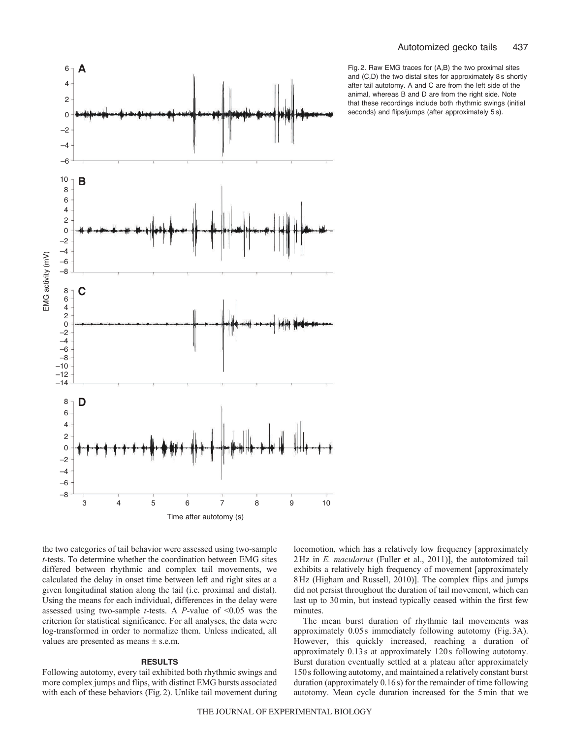

EMG activity (mV)

EMG activity (mV)

Fig. 2. Raw EMG traces for (A,B) the two proximal sites and (C,D) the two distal sites for approximately 8 s shortly after tail autotomy. A and C are from the left side of the animal, whereas B and D are from the right side. Note that these recordings include both rhythmic swings (initial seconds) and flips/jumps (after approximately 5 s).

the two categories of tail behavior were assessed using two-sample *t*-tests. To determine whether the coordination between EMG sites differed between rhythmic and complex tail movements, we calculated the delay in onset time between left and right sites at a given longitudinal station along the tail (i.e. proximal and distal). Using the means for each individual, differences in the delay were assessed using two-sample *t*-tests. A *P*-value of <0.05 was the criterion for statistical significance. For all analyses, the data were log-transformed in order to normalize them. Unless indicated, all values are presented as means  $\pm$  s.e.m.

#### **RESULTS**

Following autotomy, every tail exhibited both rhythmic swings and more complex jumps and flips, with distinct EMG bursts associated with each of these behaviors (Fig.2). Unlike tail movement during locomotion, which has a relatively low frequency [approximately 2Hz in *E. macularius* (Fuller et al., 2011)], the autotomized tail exhibits a relatively high frequency of movement [approximately 8Hz (Higham and Russell, 2010)]. The complex flips and jumps did not persist throughout the duration of tail movement, which can last up to 30min, but instead typically ceased within the first few minutes.

The mean burst duration of rhythmic tail movements was approximately 0.05s immediately following autotomy (Fig.3A). However, this quickly increased, reaching a duration of approximately 0.13s at approximately 120s following autotomy. Burst duration eventually settled at a plateau after approximately 150s following autotomy, and maintained a relatively constant burst duration (approximately 0.16s) for the remainder of time following autotomy. Mean cycle duration increased for the 5min that we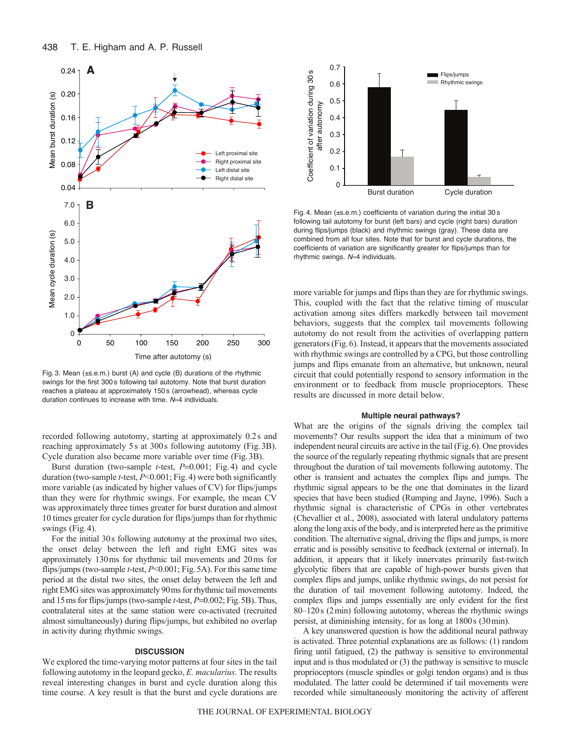



Fig. 3. Mean (±s.e.m.) burst (A) and cycle (B) durations of the rhythmic swings for the first 300 s following tail autotomy. Note that burst duration reaches a plateau at approximately 150 s (arrowhead), whereas cycle duration continues to increase with time. *N*=4 individuals.

recorded following autotomy, starting at approximately 0.2s and reaching approximately 5s at 300s following autotomy (Fig.3B). Cycle duration also became more variable over time (Fig.3B).

Burst duration (two-sample *t*-test, *P*=0.001; Fig. 4) and cycle duration (two-sample *t*-test, *P*<0.001; Fig.4) were both significantly more variable (as indicated by higher values of CV) for flips/jumps than they were for rhythmic swings. For example, the mean CV was approximately three times greater for burst duration and almost 10 times greater for cycle duration for flips/jumps than for rhythmic swings (Fig.4).

For the initial 30s following autotomy at the proximal two sites, the onset delay between the left and right EMG sites was approximately 130ms for rhythmic tail movements and 20ms for flips/jumps (two-sample *t*-test, *P*<0.001; Fig.5A). For this same time period at the distal two sites, the onset delay between the left and right EMG sites was approximately 90ms for rhythmic tail movements and 15 ms for flips/jumps (two-sample *t*-test, *P*=0.002; Fig. 5B). Thus, contralateral sites at the same station were co-activated (recruited almost simultaneously) during flips/jumps, but exhibited no overlap in activity during rhythmic swings.

#### **DISCUSSION**

We explored the time-varying motor patterns at four sites in the tail following autotomy in the leopard gecko, *E. macularius*. The results reveal interesting changes in burst and cycle duration along this time course. A key result is that the burst and cycle durations are



Fig. 4. Mean (±s.e.m.) coefficients of variation during the initial 30 s following tail autotomy for burst (left bars) and cycle (right bars) duration during flips/jumps (black) and rhythmic swings (gray). These data are combined from all four sites. Note that for burst and cycle durations, the coefficients of variation are significantly greater for flips/jumps than for rhythmic swings. N=4 individuals.

more variable for jumps and flips than they are for rhythmic swings. This, coupled with the fact that the relative timing of muscular activation among sites differs markedly between tail movement behaviors, suggests that the complex tail movements following autotomy do not result from the activities of overlapping pattern generators (Fig.6). Instead, it appears that the movements associated with rhythmic swings are controlled by a CPG, but those controlling jumps and flips emanate from an alternative, but unknown, neural circuit that could potentially respond to sensory information in the environment or to feedback from muscle proprioceptors. These results are discussed in more detail below.

#### **Multiple neural pathways?**

What are the origins of the signals driving the complex tail movements? Our results support the idea that a minimum of two independent neural circuits are active in the tail (Fig.6). One provides the source of the regularly repeating rhythmic signals that are present throughout the duration of tail movements following autotomy. The other is transient and actuates the complex flips and jumps. The rhythmic signal appears to be the one that dominates in the lizard species that have been studied (Rumping and Jayne, 1996). Such a rhythmic signal is characteristic of CPGs in other vertebrates (Chevallier et al., 2008), associated with lateral undulatory patterns along the long axis of the body, and is interpreted here as the primitive condition. The alternative signal, driving the flips and jumps, is more erratic and is possibly sensitive to feedback (external or internal). In addition, it appears that it likely innervates primarily fast-twitch glycolytic fibers that are capable of high-power bursts given that complex flips and jumps, unlike rhythmic swings, do not persist for the duration of tail movement following autotomy. Indeed, the complex flips and jumps essentially are only evident for the first 80–120s (2min) following autotomy, whereas the rhythmic swings persist, at diminishing intensity, for as long at 1800s (30min).

A key unanswered question is how the additional neural pathway is activated. Three potential explanations are as follows: (1) random firing until fatigued, (2) the pathway is sensitive to environmental input and is thus modulated or (3) the pathway is sensitive to muscle proprioceptors (muscle spindles or golgi tendon organs) and is thus modulated. The latter could be determined if tail movements were recorded while simultaneously monitoring the activity of afferent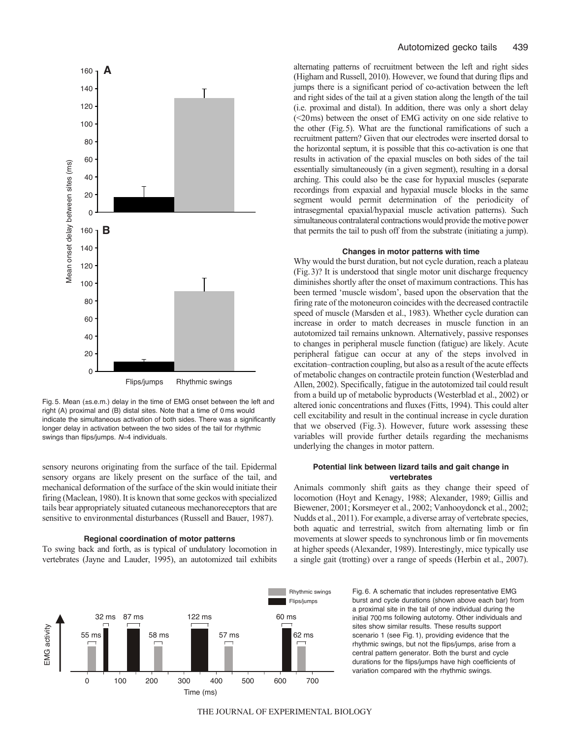

Fig. 5. Mean (±s.e.m.) delay in the time of EMG onset between the left and right (A) proximal and (B) distal sites. Note that a time of 0 ms would indicate the simultaneous activation of both sides. There was a significantly longer delay in activation between the two sides of the tail for rhythmic swings than flips/jumps. N=4 individuals.

sensory neurons originating from the surface of the tail. Epidermal sensory organs are likely present on the surface of the tail, and mechanical deformation of the surface of the skin would initiate their firing (Maclean, 1980). It is known that some geckos with specialized tails bear appropriately situated cutaneous mechanoreceptors that are sensitive to environmental disturbances (Russell and Bauer, 1987).

#### **Regional coordination of motor patterns**

To swing back and forth, as is typical of undulatory locomotion in vertebrates (Jayne and Lauder, 1995), an autotomized tail exhibits alternating patterns of recruitment between the left and right sides (Higham and Russell, 2010). However, we found that during flips and jumps there is a significant period of co-activation between the left and right sides of the tail at a given station along the length of the tail (i.e. proximal and distal). In addition, there was only a short delay (<20ms) between the onset of EMG activity on one side relative to the other (Fig.5). What are the functional ramifications of such a recruitment pattern? Given that our electrodes were inserted dorsal to the horizontal septum, it is possible that this co-activation is one that results in activation of the epaxial muscles on both sides of the tail essentially simultaneously (in a given segment), resulting in a dorsal arching. This could also be the case for hypaxial muscles (separate recordings from expaxial and hypaxial muscle blocks in the same segment would permit determination of the periodicity of intrasegmental epaxial/hypaxial muscle activation patterns). Such simultaneous contralateral contractions would provide the motive power that permits the tail to push off from the substrate (initiating a jump).

#### **Changes in motor patterns with time**

Why would the burst duration, but not cycle duration, reach a plateau (Fig.3)? It is understood that single motor unit discharge frequency diminishes shortly after the onset of maximum contractions. This has been termed 'muscle wisdom', based upon the observation that the firing rate of the motoneuron coincides with the decreased contractile speed of muscle (Marsden et al., 1983). Whether cycle duration can increase in order to match decreases in muscle function in an autotomized tail remains unknown. Alternatively, passive responses to changes in peripheral muscle function (fatigue) are likely. Acute peripheral fatigue can occur at any of the steps involved in excitation–contraction coupling, but also as a result of the acute effects of metabolic changes on contractile protein function (Westerblad and Allen, 2002). Specifically, fatigue in the autotomized tail could result from a build up of metabolic byproducts (Westerblad et al., 2002) or altered ionic concentrations and fluxes (Fitts, 1994). This could alter cell excitability and result in the continual increase in cycle duration that we observed (Fig.3). However, future work assessing these variables will provide further details regarding the mechanisms underlying the changes in motor pattern.

### **Potential link between lizard tails and gait change in vertebrates**

Animals commonly shift gaits as they change their speed of locomotion (Hoyt and Kenagy, 1988; Alexander, 1989; Gillis and Biewener, 2001; Korsmeyer et al., 2002; Vanhooydonck et al., 2002; Nudds et al., 2011). For example, a diverse array of vertebrate species, both aquatic and terrestrial, switch from alternating limb or fin movements at slower speeds to synchronous limb or fin movements at higher speeds (Alexander, 1989). Interestingly, mice typically use a single gait (trotting) over a range of speeds (Herbin et al., 2007).



Fig. 6. A schematic that includes representative EMG burst and cycle durations (shown above each bar) from a proximal site in the tail of one individual during the initial 700 ms following autotomy. Other individuals and sites show similar results. These results support scenario 1 (see Fig. 1), providing evidence that the rhythmic swings, but not the flips/jumps, arise from a central pattern generator. Both the burst and cycle durations for the flips/jumps have high coefficients of variation compared with the rhythmic swings.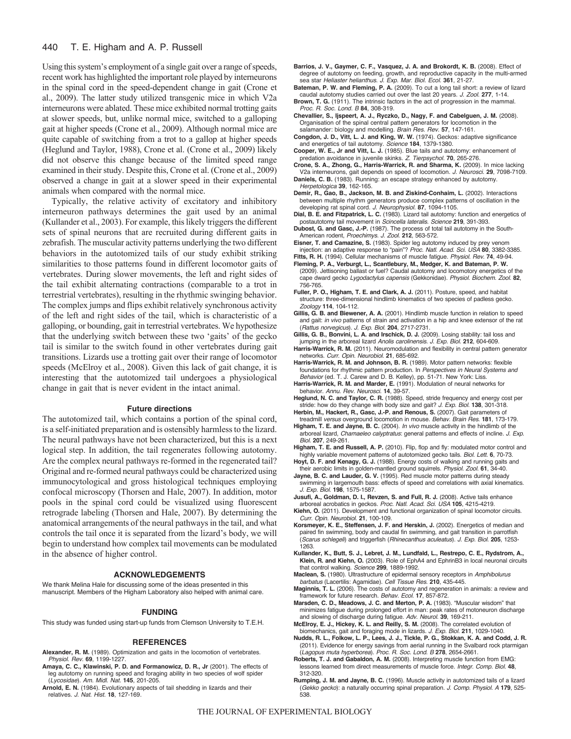#### 440 T. E. Higham and A. P. Russell

Using this system's employment of a single gait over a range of speeds, recent work has highlighted the important role played by interneurons in the spinal cord in the speed-dependent change in gait (Crone et al., 2009). The latter study utilized transgenic mice in which V2a interneurons were ablated. These mice exhibited normal trotting gaits at slower speeds, but, unlike normal mice, switched to a galloping gait at higher speeds (Crone et al., 2009). Although normal mice are quite capable of switching from a trot to a gallop at higher speeds (Heglund and Taylor, 1988), Crone et al. (Crone et al., 2009) likely did not observe this change because of the limited speed range examined in their study. Despite this, Crone et al. (Crone et al., 2009) observed a change in gait at a slower speed in their experimental animals when compared with the normal mice.

Typically, the relative activity of excitatory and inhibitory interneuron pathways determines the gait used by an animal (Kullander et al., 2003). For example, this likely triggers the different sets of spinal neurons that are recruited during different gaits in zebrafish. The muscular activity patterns underlying the two different behaviors in the autotomized tails of our study exhibit striking similarities to those patterns found in different locomotor gaits of vertebrates. During slower movements, the left and right sides of the tail exhibit alternating contractions (comparable to a trot in terrestrial vertebrates), resulting in the rhythmic swinging behavior. The complex jumps and flips exhibit relatively synchronous activity of the left and right sides of the tail, which is characteristic of a galloping, or bounding, gait in terrestrial vertebrates. We hypothesize that the underlying switch between these two 'gaits' of the gecko tail is similar to the switch found in other vertebrates during gait transitions. Lizards use a trotting gait over their range of locomotor speeds (McElroy et al., 2008). Given this lack of gait change, it is interesting that the autotomized tail undergoes a physiological change in gait that is never evident in the intact animal.

#### **Future directions**

The autotomized tail, which contains a portion of the spinal cord, is a self-initiated preparation and is ostensibly harmless to the lizard. The neural pathways have not been characterized, but this is a next logical step. In addition, the tail regenerates following autotomy. Are the complex neural pathways re-formed in the regenerated tail? Original and re-formed neural pathways could be characterized using immunocytological and gross histological techniques employing confocal microscopy (Thorsen and Hale, 2007). In addition, motor pools in the spinal cord could be visualized using fluorescent retrograde labeling (Thorsen and Hale, 2007). By determining the anatomical arrangements of the neural pathways in the tail, and what controls the tail once it is separated from the lizard's body, we will begin to understand how complex tail movements can be modulated in the absence of higher control.

### **ACKNOWLEDGEMENTS**

We thank Melina Hale for discussing some of the ideas presented in this manuscript. Members of the Higham Laboratory also helped with animal care.

#### **FUNDING**

This study was funded using start-up funds from Clemson University to T.E.H.

#### **REFERENCES**

- **Alexander, R. M.** (1989). Optimization and gaits in the locomotion of vertebrates. *Physiol. Rev.* **69**, 1199-1227.
- **Amaya, C. C., Klawinski, P. D. and Formanowicz, D. R., Jr** (2001). The effects of leg autotomy on running speed and foraging ability in two species of wolf spider (*Lycosidae*). *Am. Midl. Nat.* **145**, 201-205.
- **Arnold, E. N.** (1984). Evolutionary aspects of tail shedding in lizards and their relatives. *J. Nat. Hist.* **18**, 127-169.
- **Barrios, J. V., Gaymer, C. F., Vasquez, J. A. and Brokordt, K. B.** (2008). Effect of degree of autotomy on feeding, growth, and reproductive capacity in the multi-armed sea star *Heliaster helianthus*. *J. Exp. Mar. Biol. Ecol.* **361**, 21-27.
- **Bateman, P. W. and Fleming, P. A.** (2009). To cut a long tail short: a review of lizard caudal autotomy studies carried out over the last 20 years. *J. Zool.* **277**, 1-14.
- **Brown, T. G.** (1911). The intrinsic factors in the act of progression in the mammal. *Proc. R. Soc. Lond. B* **84**, 308-319.
- **Chevallier, S., Ijspeert, A. J., Ryczko, D., Nagy, F. and Cabelguen, J. M.** (2008). Organisation of the spinal central pattern generators for locomotion in the salamander: biology and modelling. *Brain Res. Rev.* **57**, 147-161.
- **Congdon, J. D., Vitt, L. J. and King, W. W.** (1974). Geckos: adaptive significance and energetics of tail autotomy. *Science* **184**, 1379-1380.
- **Cooper, W. E., Jr and Vitt, L. J.** (1985). Blue tails and autotomy: enhancement of predation avoidance in juvenile skinks. *Z. Tierpsychol.* **70**, 265-276.
- **Crone, S. A., Zhong, G., Harris-Warrick, R. and Sharma, K.** (2009). In mice lacking V2a interneurons, gait depends on speed of locomotion. *J. Neurosci.* **29**, 7098-7109. **Daniels, C. B.** (1983). Running: an escape strategy enhanced by autotomy.
- *Herpetologica* **39**, 162-165. **Demir, R., Gao, B., Jackson, M. B. and Ziskind-Conhaim, L.** (2002). Interactions
- between multiple rhythm generators produce complex patterns of oscillation in the developing rat spinal cord. *J. Neurophysiol.* **87**, 1094-1105.
- **Dial, B. E. and Fitzpatrick, L. C.** (1983). Lizard tail autotomy: function and energetics of postautotomy tail movement in *Scincella lateralis*. *Science* **219**, 391-393.
- **Dubost, G. and Gasc, J.-P.** (1987). The process of total tail autotomy in the South-American rodent, *Proechimys*. *J. Zool.* **212**, 563-572.
- **Eisner, T. and Camazine, S.** (1983). Spider leg autotomy induced by prey venom injection: an adaptive response to "pain"? *Proc. Natl. Acad. Sci. USA* **80**, 3382-3385. **Fitts, R. H.** (1994). Cellular mechanisms of muscle fatigue. *Physiol. Rev.* **74**, 49-94.
- **Fleming, P. A., Verburgt, L., Scantlebury, M., Medger, K. and Bateman, P. W.** (2009). Jettisoning ballast or fuel? Caudal autotomy and locomotory energetics of the cape dward gecko *Lygodactylus capensis* (Gekkonidae). *Physiol. Biochem. Zool.* **82**, 756-765.
- **Fuller, P. O., Higham, T. E. and Clark, A. J.** (2011). Posture, speed, and habitat structure: three-dimensional hindlimb kinematics of two species of padless gecko. *Zoology* **114**, 104-112.
- **Gillis, G. B. and Biewener, A. A.** (2001). Hindlimb muscle function in relation to speed and gait: *in vivo* patterns of strain and activation in a hip and knee extensor of the rat (*Rattus norvegicus*). *J. Exp. Biol.* **204**, 2717-2731.
- **Gillis, G. B., Bonvini, L. A. and Irschick, D. J.** (2009). Losing stability: tail loss and jumping in the arboreal lizard *Anolis carolinensis*. *J. Exp. Biol.* **212**, 604-609.
- Harris-Warrick, R. M. (2011). Neuromodulation and flexibility in central pattern generator networks. *Curr. Opin. Neurobiol.* **21**, 685-692.
- **Harris-Warrick, R. M. and Johnson, B. R.** (1989). Motor pattern networks: flexible foundations for rhythmic pattern production. In *Perspectives in Neural Systems and Behavior* (ed. T. J. Carew and D. B. Kelley), pp. 51-71. New York: Liss.
- **Harris-Warrick, R. M. and Marder, E.** (1991). Modulation of neural networks for behavior. *Annu. Rev. Neurosci.* **14**, 39-57.
- **Heglund, N. C. and Taylor, C. R.** (1988). Speed, stride frequency and energy cost per stride: how do they change with body size and gait? *J. Exp. Biol.* **138**, 301-318. **Herbin, M., Hackert, R., Gasc, J.-P. and Renous, S.** (2007). Gait parameters of
- treadmill *versus* overground locomotion in mouse. *Behav. Brain Res.* **181**, 173-179. **Higham, T. E. and Jayne, B. C.** (2004). *In vivo* muscle activity in the hindlimb of the
- arboreal lizard, *Chamaeleo calyptratus*: general patterns and effects of incline. *J. Exp. Biol.* **207**, 249-261.
- **Higham, T. E. and Russell, A. P.** (2010). Flip, flop and fly: modulated motor control and highly variable movement patterns of autotomized gecko tails. *Biol. Lett.* **6**, 70-73.
- **Hoyt, D. F. and Kenagy, G. J.** (1988). Energy costs of walking and running gaits and their aerobic limits in golden-mantled ground squirrels. *Physiol. Zool.* **61**, 34-40.
- **Jayne, B. C. and Lauder, G. V.** (1995). Red muscle motor patterns during steady swimming in largemouth bass: effects of speed and correlations with axial kinematics. *J. Exp. Biol.* **198**, 1575-1587.
- **Jusufi, A., Goldman, D. I., Revzen, S. and Full, R. J.** (2008). Active tails enhance arboreal acrobatics in geckos. *Proc. Natl. Acad. Sci. USA* **105**, 4215-4219.
- **Kiehn, O.** (2011). Development and functional organization of spinal locomotor circuits. *Curr. Opin. Neurobiol.* **21**, 100-109.
- **Korsmeyer, K. E., Steffensen, J. F. and Herskin, J.** (2002). Energetics of median and paired fin swimming, body and caudal fin swimming, and gait transition in parrotfish (*Scarus schlegeli*) and triggerfish (*Rhinecanthus aculeatus*). *J. Exp. Biol.* **205**, 1253- 1263.
- **Kullander, K., Butt, S. J., Lebret, J. M., Lundfald, L., Restrepo, C. E., Rydstrom, A., Klein, R. and Kiehn, O.** (2003). Role of EphA4 and EphrinB3 in local neuronal circuits
- that control walking. *Science* **299**, 1889-1992. **Maclean, S.** (1980). Ultrastructure of epidermal sensory receptors in *Amphibolurus barbatus* (Lacertilis: Agamidae). *Cell Tissue Res.* **210**, 435-445.
- **Maginnis, T. L.** (2006). The costs of autotomy and regeneration in animals: a review and framework for future research. *Behav. Ecol.* **17**, 857-872.
- **Marsden, C. D., Meadows, J. C. and Merton, P. A.** (1983). "Muscular wisdom" that minimizes fatigue during prolonged effort in man: peak rates of motoneuron discharge and slowing of discharge during fatigue. *Adv. Neurol.* **39**, 169-211.
- **McElroy, E. J., Hickey, K. L. and Reilly, S. M.** (2008). The correlated evolution of biomechanics, gait and foraging mode in lizards. *J. Exp. Biol.* **211**, 1029-1040.
- **Nudds, R. L., Folkow, L. P., Lees, J. J., Tickle, P. G., Stokkan, K. A. and Codd, J. R.** (2011). Evidence for energy savings from aerial running in the Svalbard rock ptarmigan (*Lagopus muta hyperborea*). *Proc. R. Soc. Lond. B* **278**, 2654-2661.
- **Roberts, T. J. and Gabaldon, A. M.** (2008). Interpreting muscle function from EMG: lessons learned from direct measurements of muscle force. *Integr. Comp. Biol.* **48**, 312-320.
- **Rumping, J. M. and Jayne, B. C.** (1996). Muscle activity in autotomized tails of a lizard (*Gekko gecko*): a naturally occurring spinal preparation. *J. Comp. Physiol. A* **179**, 525- 538.